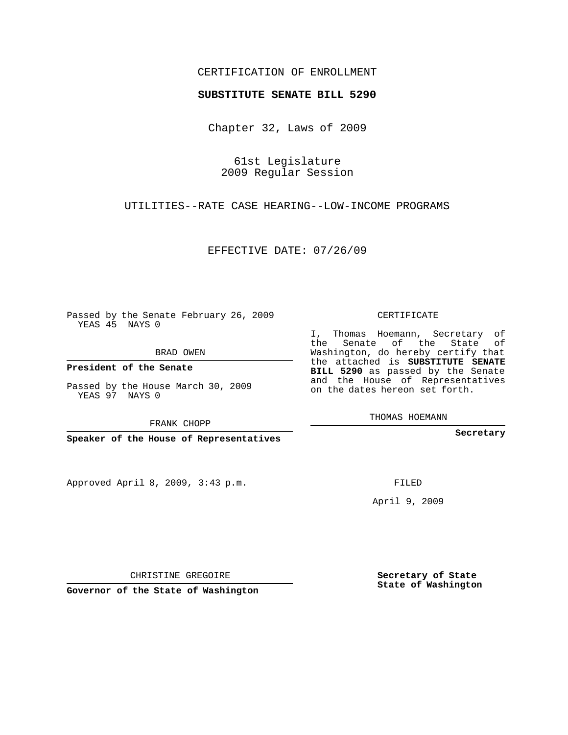## CERTIFICATION OF ENROLLMENT

## **SUBSTITUTE SENATE BILL 5290**

Chapter 32, Laws of 2009

61st Legislature 2009 Regular Session

UTILITIES--RATE CASE HEARING--LOW-INCOME PROGRAMS

EFFECTIVE DATE: 07/26/09

Passed by the Senate February 26, 2009 YEAS 45 NAYS 0

BRAD OWEN

**President of the Senate**

Passed by the House March 30, 2009 YEAS 97 NAYS 0

FRANK CHOPP

**Speaker of the House of Representatives**

Approved April 8, 2009, 3:43 p.m.

CERTIFICATE

I, Thomas Hoemann, Secretary of the Senate of the State of Washington, do hereby certify that the attached is **SUBSTITUTE SENATE BILL 5290** as passed by the Senate and the House of Representatives on the dates hereon set forth.

THOMAS HOEMANN

**Secretary**

FILED

April 9, 2009

**Secretary of State State of Washington**

CHRISTINE GREGOIRE

**Governor of the State of Washington**